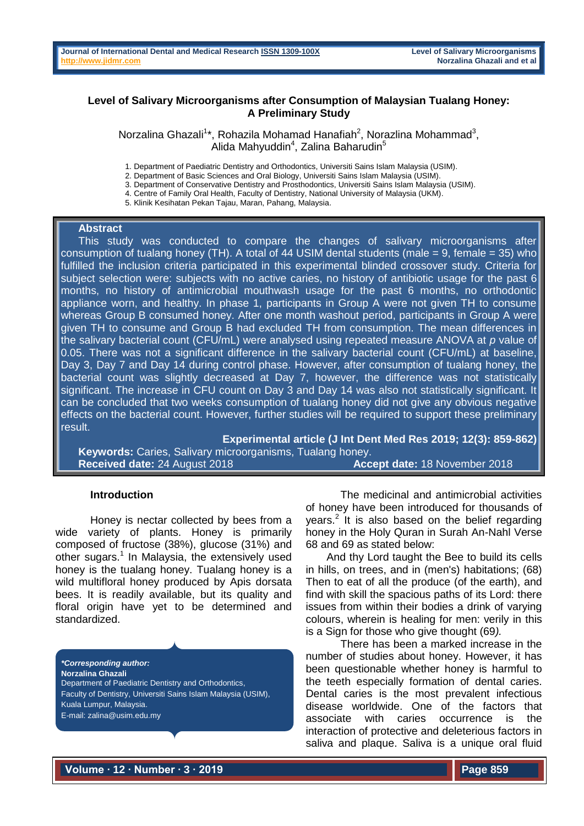## **Level of Salivary Microorganisms after Consumption of Malaysian Tualang Honey: A Preliminary Study**

Norzalina Ghazali<sup>1\*</sup>, Rohazila Mohamad Hanafiah<sup>2</sup>, Norazlina Mohammad<sup>3</sup>, Alida Mahyuddin<sup>4</sup>, Zalina Baharudin<sup>5</sup>

- 1. Department of Paediatric Dentistry and Orthodontics, Universiti Sains Islam Malaysia (USIM).
- 2. Department of Basic Sciences and Oral Biology, Universiti Sains Islam Malaysia (USIM).
- 3. Department of Conservative Dentistry and Prosthodontics, Universiti Sains Islam Malaysia (USIM).
- 4. Centre of Family Oral Health, Faculty of Dentistry, National University of Malaysia (UKM).
- 5. Klinik Kesihatan Pekan Tajau, Maran, Pahang, Malaysia.

#### **Abstract**

This study was conducted to compare the changes of salivary microorganisms after consumption of tualang honey (TH). A total of 44 USIM dental students (male  $= 9$ , female  $= 35$ ) who fulfilled the inclusion criteria participated in this experimental blinded crossover study. Criteria for subject selection were: subjects with no active caries, no history of antibiotic usage for the past 6 months, no history of antimicrobial mouthwash usage for the past 6 months, no orthodontic appliance worn, and healthy. In phase 1, participants in Group A were not given TH to consume whereas Group B consumed honey. After one month washout period, participants in Group A were given TH to consume and Group B had excluded TH from consumption. The mean differences in the salivary bacterial count (CFU/mL) were analysed using repeated measure ANOVA at *p* value of 0.05. There was not a significant difference in the salivary bacterial count (CFU/mL) at baseline, Day 3, Day 7 and Day 14 during control phase. However, after consumption of tualang honey, the bacterial count was slightly decreased at Day 7, however, the difference was not statistically significant. The increase in CFU count on Day 3 and Day 14 was also not statistically significant. It can be concluded that two weeks consumption of tualang honey did not give any obvious negative effects on the bacterial count. However, further studies will be required to support these preliminary result.

**Experimental article (J Int Dent Med Res 2019; 12(3): 859-862) Keywords:** Caries, Salivary microorganisms, Tualang honey. **Received date:** 24 August 2018 **Accept date:** 18 November 2018

#### **Introduction**

Honey is nectar collected by bees from a wide variety of plants. Honey is primarily composed of fructose (38%), glucose (31%) and other sugars.<sup>1</sup> In Malaysia, the extensively used honey is the tualang honey. Tualang honey is a wild multifloral honey produced by Apis dorsata bees. It is readily available, but its quality and floral origin have yet to be determined and standardized.

*\*Corresponding author:* **Norzalina Ghazali** Department of Paediatric Dentistry and Orthodontics, Faculty of Dentistry, Universiti Sains Islam Malaysia (USIM), Kuala Lumpur, Malaysia. E-mail: zalina@usim.edu.my

The medicinal and antimicrobial activities of honey have been introduced for thousands of years.<sup>2</sup> It is also based on the belief regarding honey in the Holy Quran in Surah An-Nahl Verse 68 and 69 as stated below:

And thy Lord taught the Bee to build its cells in hills, on trees, and in (men's) habitations; (68) Then to eat of all the produce (of the earth), and find with skill the spacious paths of its Lord: there issues from within their bodies a drink of varying colours, wherein is healing for men: verily in this is a Sign for those who give thought (69*).*

There has been a marked increase in the number of studies about honey. However, it has been questionable whether honey is harmful to the teeth especially formation of dental caries. Dental caries is the most prevalent infectious disease worldwide. One of the factors that associate with caries occurrence is the interaction of protective and deleterious factors in saliva and plaque. Saliva is a unique oral fluid

**Volume ∙ 12 ∙ Number ∙ 3 ∙ 2019**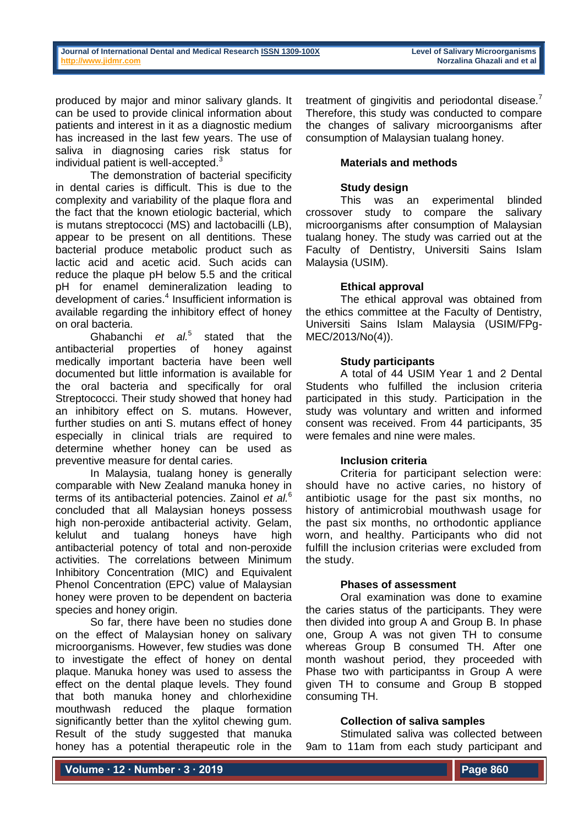produced by major and minor salivary glands. It can be used to provide clinical information about patients and interest in it as a diagnostic medium has increased in the last few years. The use of saliva in diagnosing caries risk status for individual patient is well-accepted.<sup>3</sup>

The demonstration of bacterial specificity in dental caries is difficult. This is due to the complexity and variability of the plaque flora and the fact that the known etiologic bacterial, which is mutans streptococci (MS) and lactobacilli (LB), appear to be present on all dentitions. These bacterial produce metabolic product such as lactic acid and acetic acid. Such acids can reduce the plaque pH below 5.5 and the critical pH for enamel demineralization leading to development of caries.<sup>4</sup> Insufficient information is available regarding the inhibitory effect of honey on oral bacteria.

Ghabanchi *et al.*<sup>5</sup> stated that the antibacterial properties of honey against medically important bacteria have been well documented but little information is available for the oral bacteria and specifically for oral Streptococci. Their study showed that honey had an inhibitory effect on S. mutans. However, further studies on anti S. mutans effect of honey especially in clinical trials are required to determine whether honey can be used as preventive measure for dental caries.

In Malaysia, tualang honey is generally comparable with New Zealand manuka honey in terms of its antibacterial potencies. Zainol *et al.*<sup>6</sup> concluded that all Malaysian honeys possess high non-peroxide antibacterial activity. Gelam, kelulut and tualang honeys have high antibacterial potency of total and non-peroxide activities. The correlations between Minimum Inhibitory Concentration (MIC) and Equivalent Phenol Concentration (EPC) value of Malaysian honey were proven to be dependent on bacteria species and honey origin.

So far, there have been no studies done on the effect of Malaysian honey on salivary microorganisms. However, few studies was done to investigate the effect of honey on dental plaque. Manuka honey was used to assess the effect on the dental plaque levels. They found that both manuka honey and chlorhexidine mouthwash reduced the plaque formation significantly better than the xylitol chewing gum. Result of the study suggested that manuka honey has a potential therapeutic role in the

treatment of gingivitis and periodontal disease.<sup>7</sup> Therefore, this study was conducted to compare the changes of salivary microorganisms after consumption of Malaysian tualang honey.

# **Materials and methods**

# **Study design**

This was an experimental blinded crossover study to compare the salivary microorganisms after consumption of Malaysian tualang honey. The study was carried out at the Faculty of Dentistry, Universiti Sains Islam Malaysia (USIM).

# **Ethical approval**

The ethical approval was obtained from the ethics committee at the Faculty of Dentistry, Universiti Sains Islam Malaysia (USIM/FPg-MEC/2013/No(4)).

## **Study participants**

A total of 44 USIM Year 1 and 2 Dental Students who fulfilled the inclusion criteria participated in this study. Participation in the study was voluntary and written and informed consent was received. From 44 participants, 35 were females and nine were males.

# **Inclusion criteria**

Criteria for participant selection were: should have no active caries, no history of antibiotic usage for the past six months, no history of antimicrobial mouthwash usage for the past six months, no orthodontic appliance worn, and healthy. Participants who did not fulfill the inclusion criterias were excluded from the study.

### **Phases of assessment**

Oral examination was done to examine the caries status of the participants. They were then divided into group A and Group B. In phase one, Group A was not given TH to consume whereas Group B consumed TH. After one month washout period, they proceeded with Phase two with participantss in Group A were given TH to consume and Group B stopped consuming TH.

# **Collection of saliva samples**

Stimulated saliva was collected between 9am to 11am from each study participant and

**Volume ∙ 12 ∙ Number ∙ 3 ∙ 2019**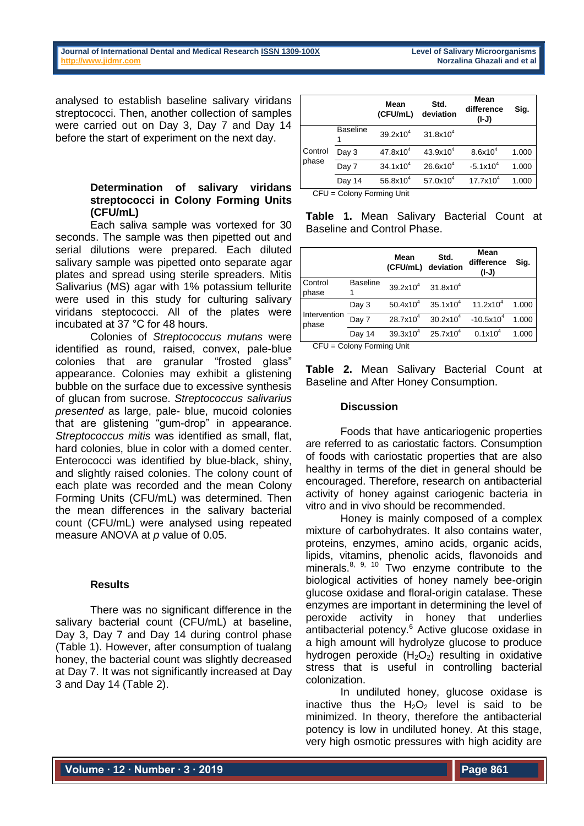analysed to establish baseline salivary viridans streptococci. Then, another collection of samples were carried out on Day 3, Day 7 and Day 14 before the start of experiment on the next day.

## **Determination of salivary viridans streptococci in Colony Forming Units (CFU/mL)**

Each saliva sample was vortexed for 30 seconds. The sample was then pipetted out and serial dilutions were prepared. Each diluted salivary sample was pipetted onto separate agar plates and spread using sterile spreaders. Mitis Salivarius (MS) agar with 1% potassium tellurite were used in this study for culturing salivary viridans steptococci. All of the plates were incubated at 37 °C for 48 hours.

Colonies of *Streptococcus mutans* were identified as round, raised, convex, pale-blue colonies that are granular "frosted glass" appearance. Colonies may exhibit a glistening bubble on the surface due to excessive synthesis of glucan from sucrose. *Streptococcus salivarius presented* as large, pale- blue, mucoid colonies that are glistening "gum-drop" in appearance. *Streptococcus mitis* was identified as small, flat, hard colonies, blue in color with a domed center. Enterococci was identified by blue-black, shiny, and slightly raised colonies. The colony count of each plate was recorded and the mean Colony Forming Units (CFU/mL) was determined. Then the mean differences in the salivary bacterial count (CFU/mL) were analysed using repeated measure ANOVA at *p* value of 0.05.

### **Results**

There was no significant difference in the salivary bacterial count (CFU/mL) at baseline, Day 3, Day 7 and Day 14 during control phase (Table 1). However, after consumption of tualang honey, the bacterial count was slightly decreased at Day 7. It was not significantly increased at Day 3 and Day 14 (Table 2).

|                           |                 | Mean<br>(CFU/mL)     | Std.<br>deviation    | Mean<br>difference<br>(I-J) | Sig.  |  |
|---------------------------|-----------------|----------------------|----------------------|-----------------------------|-------|--|
| Control<br>phase          | <b>Baseline</b> | $39.2x10^{4}$        | $31.8x10^{4}$        |                             |       |  |
|                           | Day 3           | $47.8x10^{4}$        | $43.9x10^{4}$        | $8.6x10^{4}$                | 1.000 |  |
|                           | Day 7           | 34.1x10 <sup>4</sup> | $26.6x10^{4}$        | $-5.1x104$                  | 1.000 |  |
|                           | Day 14          | 56.8x10 $4$          | 57.0x10 <sup>4</sup> | 17.7x10 <sup>4</sup>        | 1.000 |  |
| CFU = Colony Forming Unit |                 |                      |                      |                             |       |  |

**Table 1.** Mean Salivary Bacterial Count at Baseline and Control Phase.

|                       |                 | Mean<br>(CFU/mL) deviation                | Std.          | Mean<br>difference<br>(I-J) | Sig.  |
|-----------------------|-----------------|-------------------------------------------|---------------|-----------------------------|-------|
| Control<br>phase      | <b>Baseline</b> | 39.2x10 <sup>4</sup> 31.8x10 <sup>4</sup> |               |                             |       |
|                       | Day 3           | $50.4x10^4$                               | $35.1x10^{4}$ | 11.2x10 <sup>4</sup>        | 1.000 |
| Intervention<br>phase | Day 7           | $28.7x10^{4}$                             | $30.2x10^{4}$ | $-10.5x10^{4}$              | 1.000 |
|                       | Day 14          | $39.3x10^{4}$                             | $25.7x10^{4}$ | $0.1x10^4$                  | 1.000 |

CFU = Colony Forming Unit

**Table 2.** Mean Salivary Bacterial Count at Baseline and After Honey Consumption.

## **Discussion**

Foods that have anticariogenic properties are referred to as cariostatic factors. Consumption of foods with cariostatic properties that are also healthy in terms of the diet in general should be encouraged. Therefore, research on antibacterial activity of honey against cariogenic bacteria in vitro and in vivo should be recommended.

Honey is mainly composed of a complex mixture of carbohydrates. It also contains water, proteins, enzymes, amino acids, organic acids, lipids, vitamins, phenolic acids, flavonoids and minerals. $8, 9, 10$  Two enzyme contribute to the biological activities of honey namely bee-origin glucose oxidase and floral-origin catalase. These enzymes are important in determining the level of peroxide activity in honey that underlies antibacterial potency.<sup>6</sup> Active glucose oxidase in a high amount will hydrolyze glucose to produce hydrogen peroxide  $(H_2O_2)$  resulting in oxidative stress that is useful in controlling bacterial colonization.

In undiluted honey, glucose oxidase is inactive thus the  $H_2O_2$  level is said to be minimized. In theory, therefore the antibacterial potency is low in undiluted honey. At this stage, very high osmotic pressures with high acidity are